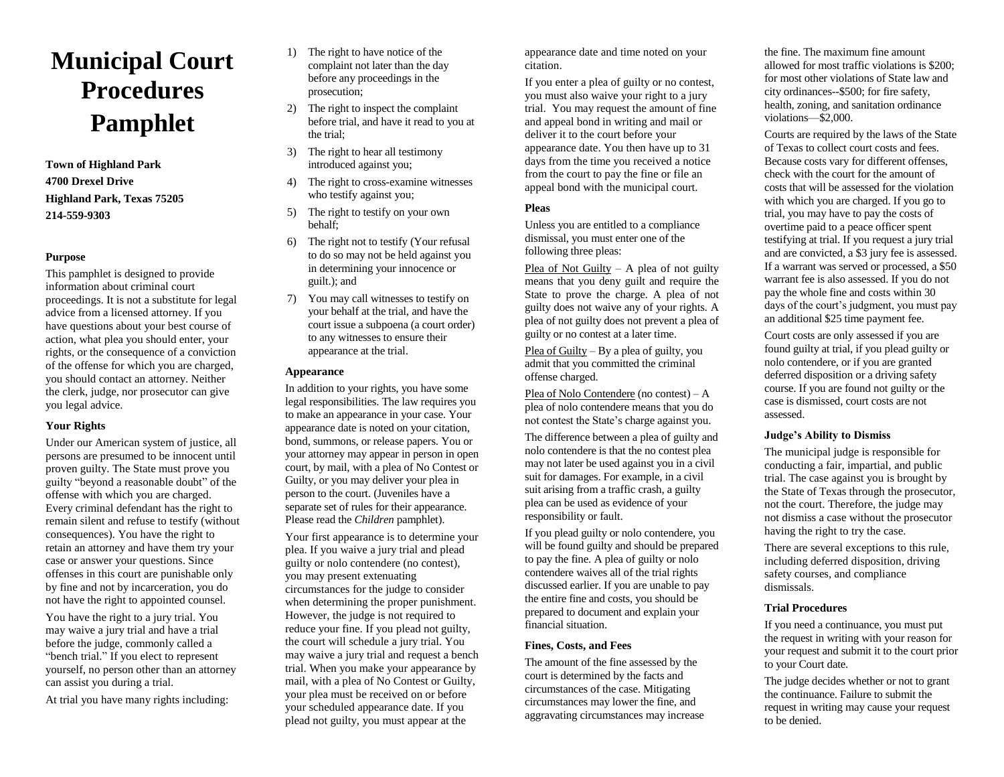# **Municipal Court Procedures Pamphlet**

**Town of Highland Park 4700 Drexel Drive Highland Park, Texas 75205 214-559-9303**

## **Purpose**

This pamphlet is designed to provide information about criminal court proceedings. It is not a substitute for legal advice from a licensed attorney. If you have questions about your best course of action, what plea you should enter, your rights, or the consequence of a conviction of the offense for which you are charged, you should contact an attorney. Neither the clerk, judge, nor prosecutor can give you legal advice.

#### **Your Rights**

Under our American system of justice, all persons are presumed to be innocent until proven guilty. The State must prove you guilty "beyond a reasonable doubt" of the offense with which you are charged. Every criminal defendant has the right to remain silent and refuse to testify (without consequences). You have the right to retain an attorney and have them try your case or answer your questions. Since offenses in this court are punishable only by fine and not by incarceration, you do not have the right to appointed counsel.

You have the right to a jury trial. You may waive a jury trial and have a trial before the judge, commonly called a "bench trial." If you elect to represent yourself, no person other than an attorney can assist you during a trial.

At trial you have many rights including:

- 1) The right to have notice of the complaint not later than the day before any proceedings in the prosecution;
- 2) The right to inspect the complaint before trial, and have it read to you at the trial;
- 3) The right to hear all testimony introduced against you;
- 4) The right to cross-examine witnesses who testify against you;
- 5) The right to testify on your own behalf;
- 6) The right not to testify (Your refusal to do so may not be held against you in determining your innocence or guilt.); and
- 7) You may call witnesses to testify on your behalf at the trial, and have the court issue a subpoena (a court order) to any witnesses to ensure their appearance at the trial.

#### **Appearance**

In addition to your rights, you have some legal responsibilities. The law requires you to make an appearance in your case. Your appearance date is noted on your citation, bond, summons, or release papers. You or your attorney may appear in person in open court, by mail, with a plea of No Contest or Guilty, or you may deliver your plea in person to the court. (Juveniles have a separate set of rules for their appearance. Please read the *Children* pamphlet).

Your first appearance is to determine your plea. If you waive a jury trial and plead guilty or nolo contendere (no contest), you may present extenuating circumstances for the judge to consider when determining the proper punishment. However, the judge is not required to reduce your fine. If you plead not guilty, the court will schedule a jury trial. You may waive a jury trial and request a bench trial. When you make your appearance by mail, with a plea of No Contest or Guilty, your plea must be received on or before your scheduled appearance date. If you plead not guilty, you must appear at the

appearance date and time noted on your citation.

If you enter a plea of guilty or no contest, you must also waive your right to a jury trial. You may request the amount of fine and appeal bond in writing and mail or deliver it to the court before your appearance date. You then have up to 31 days from the time you received a notice from the court to pay the fine or file an appeal bond with the municipal court.

#### **Pleas**

Unless you are entitled to a compliance dismissal, you must enter one of the following three pleas:

Plea of Not Guilty – A plea of not guilty means that you deny guilt and require the State to prove the charge. A plea of not guilty does not waive any of your rights. A plea of not guilty does not prevent a plea of guilty or no contest at a later time.

Plea of Guilty – By a plea of guilty, you admit that you committed the criminal offense charged.

Plea of Nolo Contendere (no contest) – A plea of nolo contendere means that you do not contest the State's charge against you.

The difference between a plea of guilty and nolo contendere is that the no contest plea may not later be used against you in a civil suit for damages. For example, in a civil suit arising from a traffic crash, a guilty plea can be used as evidence of your responsibility or fault.

If you plead guilty or nolo contendere, you will be found guilty and should be prepared to pay the fine. A plea of guilty or nolo contendere waives all of the trial rights discussed earlier. If you are unable to pay the entire fine and costs, you should be prepared to document and explain your financial situation.

### **Fines, Costs, and Fees**

The amount of the fine assessed by the court is determined by the facts and circumstances of the case. Mitigating circumstances may lower the fine, and aggravating circumstances may increase the fine. The maximum fine amount allowed for most traffic violations is \$200; for most other violations of State law and city ordinances--\$500; for fire safety, health, zoning, and sanitation ordinance violations—\$2,000.

Courts are required by the laws of the State of Texas to collect court costs and fees. Because costs vary for different offenses, check with the court for the amount of costs that will be assessed for the violation with which you are charged. If you go to trial, you may have to pay the costs of overtime paid to a peace officer spent testifying at trial. If you request a jury trial and are convicted, a \$3 jury fee is assessed. If a warrant was served or processed, a \$50 warrant fee is also assessed. If you do not pay the whole fine and costs within 30 days of the court's judgment, you must pay an additional \$25 time payment fee.

Court costs are only assessed if you are found guilty at trial, if you plead guilty or nolo contendere, or if you are granted deferred disposition or a driving safety course. If you are found not guilty or the case is dismissed, court costs are not assessed.

#### **Judge's Ability to Dismiss**

The municipal judge is responsible for conducting a fair, impartial, and public trial. The case against you is brought by the State of Texas through the prosecutor, not the court. Therefore, the judge may not dismiss a case without the prosecutor having the right to try the case.

There are several exceptions to this rule, including deferred disposition, driving safety courses, and compliance dismissals.

## **Trial Procedures**

If you need a continuance, you must put the request in writing with your reason for your request and submit it to the court prior to your Court date.

The judge decides whether or not to grant the continuance. Failure to submit the request in writing may cause your request to be denied.